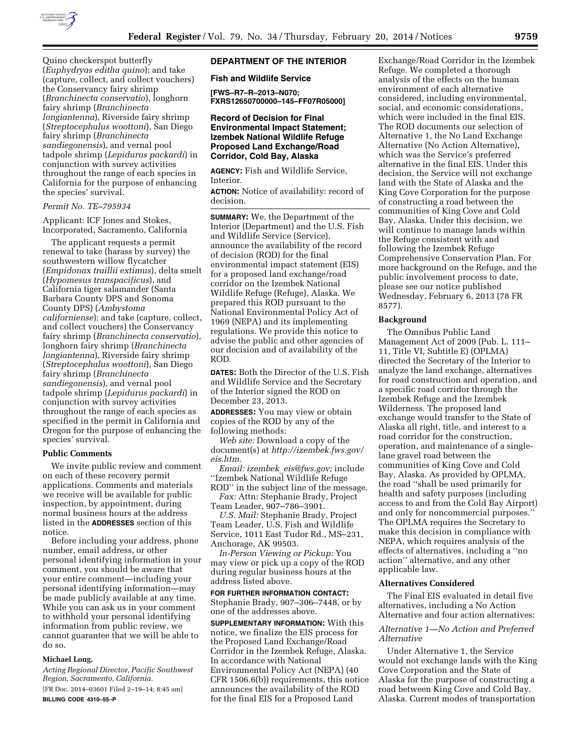

Quino checkerspot butterfly (*Euphydryas editha quino*); and take (capture, collect, and collect vouchers) the Conservancy fairy shrimp (*Branchinecta conservatio*), longhorn fairy shrimp (*Branchinecta longiantenna*), Riverside fairy shrimp (*Streptocephalus woottoni*), San Diego fairy shrimp (*Branchinecta sandiegonensis*), and vernal pool tadpole shrimp (*Lepidurus packardi*) in conjunction with survey activities throughout the range of each species in California for the purpose of enhancing the species' survival.

#### *Permit No. TE–795934*

Applicant: ICF Jones and Stokes, Incorporated, Sacramento, California

The applicant requests a permit renewal to take (harass by survey) the southwestern willow flycatcher (*Empidonax traillii extimus*), delta smelt (*Hypomesus transpacificus*), and California tiger salamander (Santa Barbara County DPS and Sonoma County DPS) (*Ambystoma californiense*); and take (capture, collect, and collect vouchers) the Conservancy fairy shrimp (*Branchinecta conservatio*), longhorn fairy shrimp (*Branchinecta longiantenna*), Riverside fairy shrimp (*Streptocephalus woottoni*), San Diego fairy shrimp (*Branchinecta sandiegonensis*), and vernal pool tadpole shrimp (*Lepidurus packardi*) in conjunction with survey activities throughout the range of each species as specified in the permit in California and Oregon for the purpose of enhancing the species' survival.

#### **Public Comments**

We invite public review and comment on each of these recovery permit applications. Comments and materials we receive will be available for public inspection, by appointment, during normal business hours at the address listed in the **ADDRESSES** section of this notice.

Before including your address, phone number, email address, or other personal identifying information in your comment, you should be aware that your entire comment—including your personal identifying information—may be made publicly available at any time. While you can ask us in your comment to withhold your personal identifying information from public review, we cannot guarantee that we will be able to do so.

#### **Michael Long,**

*Acting Regional Director, Pacific Southwest Region, Sacramento, California.*  [FR Doc. 2014–03601 Filed 2–19–14; 8:45 am]

**BILLING CODE 4310–55–P** 

## **DEPARTMENT OF THE INTERIOR**

**Fish and Wildlife Service** 

**[FWS–R7–R–2013–N070; FXRS12650700000–145–FF07R05000]** 

## **Record of Decision for Final Environmental Impact Statement; Izembek National Wildlife Refuge Proposed Land Exchange/Road Corridor, Cold Bay, Alaska**

**AGENCY:** Fish and Wildlife Service, Interior.

**ACTION:** Notice of availability: record of decision.

**SUMMARY:** We, the Department of the Interior (Department) and the U.S. Fish and Wildlife Service (Service), announce the availability of the record of decision (ROD) for the final environmental impact statement (EIS) for a proposed land exchange/road corridor on the Izembek National Wildlife Refuge (Refuge), Alaska. We prepared this ROD pursuant to the National Environmental Policy Act of 1969 (NEPA) and its implementing regulations. We provide this notice to advise the public and other agencies of our decision and of availability of the ROD.

**DATES:** Both the Director of the U.S. Fish and Wildlife Service and the Secretary of the Interior signed the ROD on December 23, 2013.

**ADDRESSES:** You may view or obtain copies of the ROD by any of the following methods:

*Web site:* Download a copy of the document(s) at *[http://izembek.fws.gov/](http://izembek.fws.gov/eis.htm) [eis.htm.](http://izembek.fws.gov/eis.htm)* 

*Email: izembek*\_*[eis@fws.gov;](mailto:izembek_eis@fws.gov)* include ''Izembek National Wildlife Refuge ROD'' in the subject line of the message.

*Fax:* Attn: Stephanie Brady, Project Team Leader, 907–786–3901.

*U.S. Mail:* Stephanie Brady, Project Team Leader, U.S. Fish and Wildlife Service, 1011 East Tudor Rd., MS–231, Anchorage, AK 99503.

*In-Person Viewing or Pickup:* You may view or pick up a copy of the ROD during regular business hours at the address listed above.

# **FOR FURTHER INFORMATION CONTACT:**

Stephanie Brady, 907–306–7448, or by one of the addresses above.

**SUPPLEMENTARY INFORMATION:** With this notice, we finalize the EIS process for the Proposed Land Exchange/Road Corridor in the Izembek Refuge, Alaska. In accordance with National Environmental Policy Act (NEPA) (40 CFR 1506.6(b)) requirements, this notice announces the availability of the ROD for the final EIS for a Proposed Land

Exchange/Road Corridor in the Izembek Refuge. We completed a thorough analysis of the effects on the human environment of each alternative considered, including environmental, social, and economic considerations, which were included in the final EIS. The ROD documents our selection of Alternative 1, the No Land Exchange Alternative (No Action Alternative), which was the Service's preferred alternative in the final EIS. Under this decision, the Service will not exchange land with the State of Alaska and the King Cove Corporation for the purpose of constructing a road between the communities of King Cove and Cold Bay, Alaska. Under this decision, we will continue to manage lands within the Refuge consistent with and following the Izembek Refuge Comprehensive Conservation Plan. For more background on the Refuge, and the public involvement process to date, please see our notice published Wednesday, February 6, 2013 (78 FR 8577).

#### **Background**

The Omnibus Public Land Management Act of 2009 (Pub. L. 111– 11, Title VI, Subtitle E) (OPLMA) directed the Secretary of the Interior to analyze the land exchange, alternatives for road construction and operation, and a specific road corridor through the Izembek Refuge and the Izembek Wilderness. The proposed land exchange would transfer to the State of Alaska all right, title, and interest to a road corridor for the construction, operation, and maintenance of a singlelane gravel road between the communities of King Cove and Cold Bay, Alaska. As provided by OPLMA, the road ''shall be used primarily for health and safety purposes (including access to and from the Cold Bay Airport) and only for noncommercial purposes.'' The OPLMA requires the Secretary to make this decision in compliance with NEPA, which requires analysis of the effects of alternatives, including a ''no action'' alternative, and any other applicable law.

#### **Alternatives Considered**

The Final EIS evaluated in detail five alternatives, including a No Action Alternative and four action alternatives:

#### *Alternative 1—No Action and Preferred Alternative*

Under Alternative 1, the Service would not exchange lands with the King Cove Corporation and the State of Alaska for the purpose of constructing a road between King Cove and Cold Bay, Alaska. Current modes of transportation